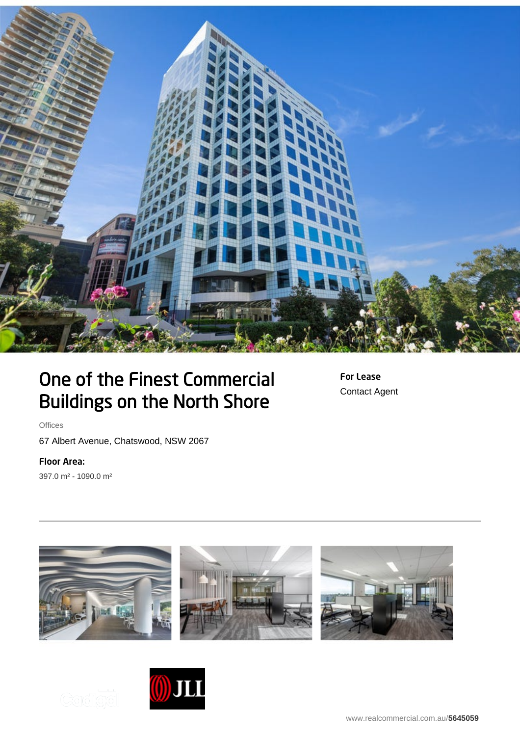

## One of the Finest Commercial Buildings on the North Shore

For Lease Contact Agent

**Offices** 

67 Albert Avenue, Chatswood, NSW 2067

## Floor Area:

397.0 m² - 1090.0 m²